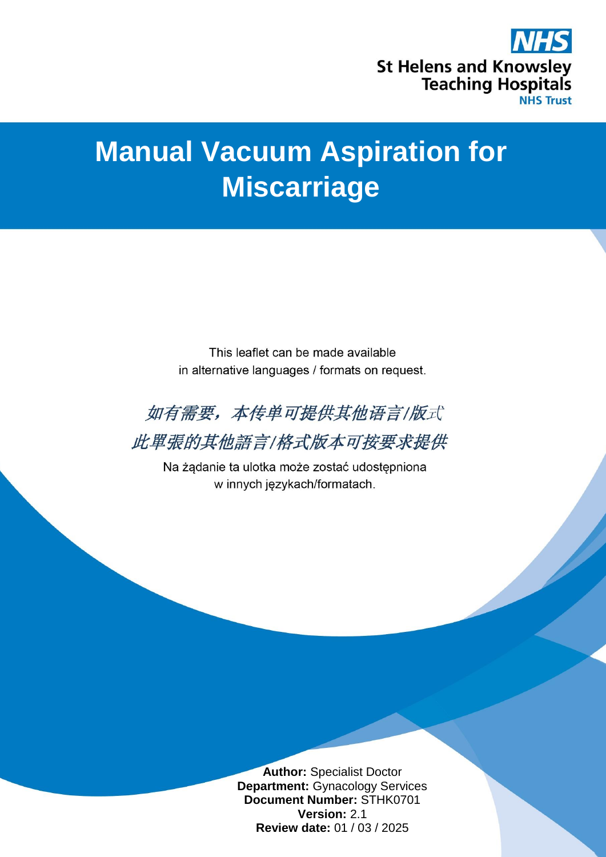

# **Manual Vacuum Aspiration for Miscarriage**

This leaflet can be made available in alternative languages / formats on request.



此單張的其他語言/格式版本可按要求提供

Na żądanie ta ulotka może zostać udostępniona w innych językach/formatach.

> **Author:** Specialist Doctor **Department:** Gynacology Services **Document Number:** STHK0701 **Version:** 2.1 **Review date:** 01 / 03 / 2025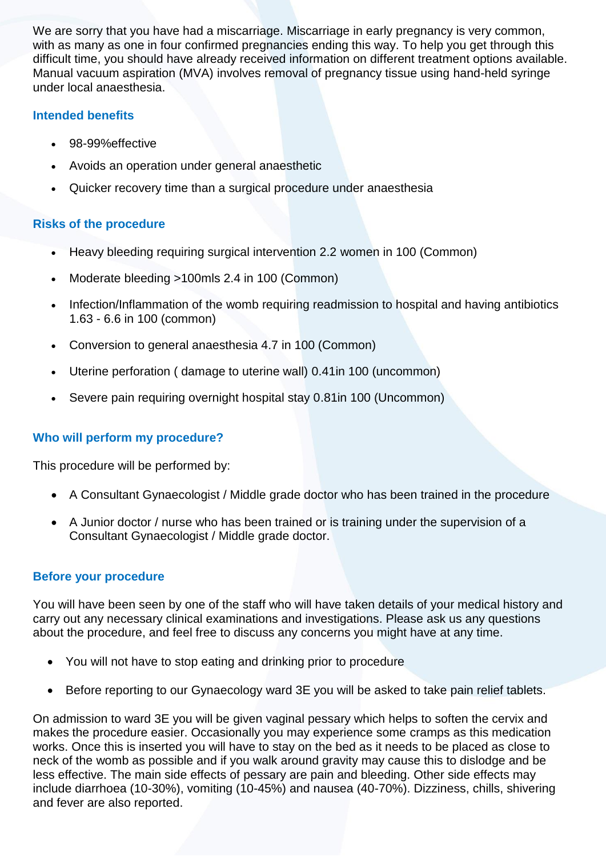We are sorry that you have had a miscarriage. Miscarriage in early pregnancy is very common, with as many as one in four confirmed pregnancies ending this way. To help you get through this difficult time, you should have already received information on different treatment options available. Manual vacuum aspiration (MVA) involves removal of pregnancy tissue using hand-held syringe under local anaesthesia.

### **Intended benefits**

- 98-99%effective
- Avoids an operation under general anaesthetic
- Quicker recovery time than a surgical procedure under anaesthesia

# **Risks of the procedure**

- Heavy bleeding requiring surgical intervention 2.2 women in 100 (Common)
- Moderate bleeding >100mls 2.4 in 100 (Common)
- Infection/Inflammation of the womb requiring readmission to hospital and having antibiotics 1.63 - 6.6 in 100 (common)
- Conversion to general anaesthesia 4.7 in 100 (Common)
- Uterine perforation ( damage to uterine wall) 0.41in 100 (uncommon)
- Severe pain requiring overnight hospital stay 0.81in 100 (Uncommon)

# **Who will perform my procedure?**

This procedure will be performed by:

- A Consultant Gynaecologist / Middle grade doctor who has been trained in the procedure
- A Junior doctor / nurse who has been trained or is training under the supervision of a Consultant Gynaecologist / Middle grade doctor.

#### **Before your procedure**

You will have been seen by one of the staff who will have taken details of your medical history and carry out any necessary clinical examinations and investigations. Please ask us any questions about the procedure, and feel free to discuss any concerns you might have at any time.

- You will not have to stop eating and drinking prior to procedure
- Before reporting to our Gynaecology ward 3E you will be asked to take pain relief tablets.

On admission to ward 3E you will be given vaginal pessary which helps to soften the cervix and makes the procedure easier. Occasionally you may experience some cramps as this medication works. Once this is inserted you will have to stay on the bed as it needs to be placed as close to neck of the womb as possible and if you walk around gravity may cause this to dislodge and be less effective. The main side effects of pessary are pain and bleeding. Other side effects may include diarrhoea (10-30%), vomiting (10-45%) and nausea (40-70%). Dizziness, chills, shivering and fever are also reported.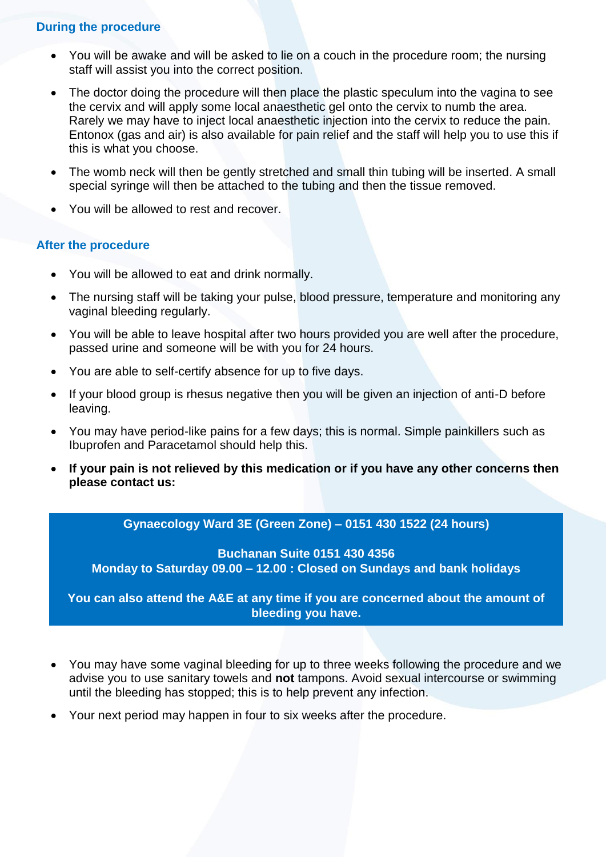#### **During the procedure**

- You will be awake and will be asked to lie on a couch in the procedure room; the nursing staff will assist you into the correct position.
- The doctor doing the procedure will then place the plastic speculum into the vagina to see the cervix and will apply some local anaesthetic gel onto the cervix to numb the area. Rarely we may have to inject local anaesthetic injection into the cervix to reduce the pain. Entonox (gas and air) is also available for pain relief and the staff will help you to use this if this is what you choose.
- The womb neck will then be gently stretched and small thin tubing will be inserted. A small special syringe will then be attached to the tubing and then the tissue removed.
- You will be allowed to rest and recover.

#### **After the procedure**

- You will be allowed to eat and drink normally.
- The nursing staff will be taking your pulse, blood pressure, temperature and monitoring any vaginal bleeding regularly.
- You will be able to leave hospital after two hours provided you are well after the procedure, passed urine and someone will be with you for 24 hours.
- You are able to self-certify absence for up to five days.
- If your blood group is rhesus negative then you will be given an injection of anti-D before leaving.
- You may have period-like pains for a few days; this is normal. Simple painkillers such as Ibuprofen and Paracetamol should help this.
- **If your pain is not relieved by this medication or if you have any other concerns then please contact us:**

**Gynaecology Ward 3E (Green Zone) – 0151 430 1522 (24 hours)**

**Buchanan Suite 0151 430 4356 Monday to Saturday 09.00 – 12.00 : Closed on Sundays and bank holidays**

**You can also attend the A&E at any time if you are concerned about the amount of bleeding you have.**

- You may have some vaginal bleeding for up to three weeks following the procedure and we advise you to use sanitary towels and **not** tampons. Avoid sexual intercourse or swimming until the bleeding has stopped; this is to help prevent any infection.
- Your next period may happen in four to six weeks after the procedure.